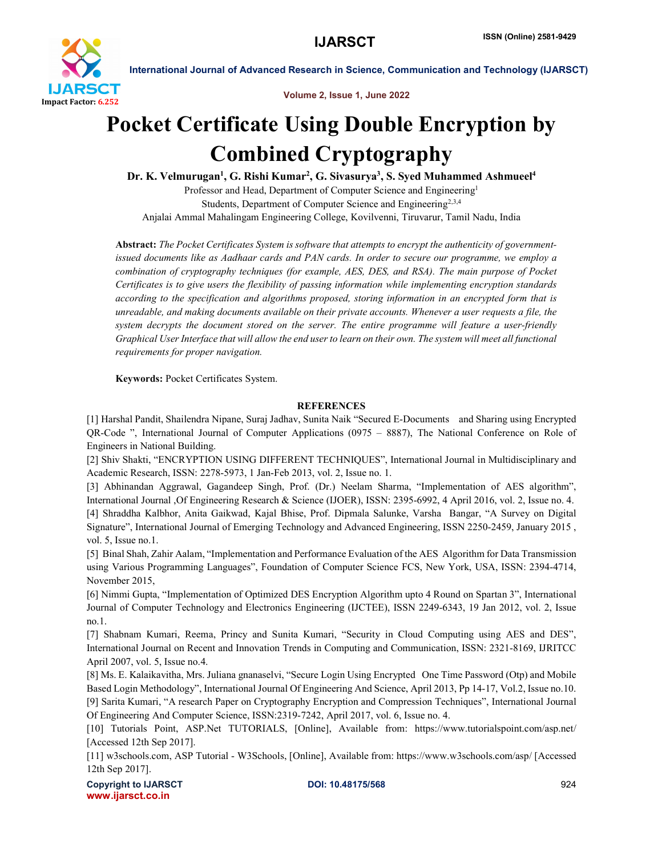

International Journal of Advanced Research in Science, Communication and Technology (IJARSCT)

Volume 2, Issue 1, June 2022

## Pocket Certificate Using Double Encryption by Combined Cryptography

Dr. K. Velmurugan<sup>1</sup>, G. Rishi Kumar<sup>2</sup>, G. Sivasurya<sup>3</sup>, S. Syed Muhammed Ashmueel<sup>4</sup> Professor and Head, Department of Computer Science and Engineering<sup>1</sup> Students, Department of Computer Science and Engineering<sup>2,3,4</sup> Anjalai Ammal Mahalingam Engineering College, Kovilvenni, Tiruvarur, Tamil Nadu, India

Abstract: *The Pocket Certificates System is software that attempts to encrypt the authenticity of governmentissued documents like as Aadhaar cards and PAN cards. In order to secure our programme, we employ a combination of cryptography techniques (for example, AES, DES, and RSA). The main purpose of Pocket Certificates is to give users the flexibility of passing information while implementing encryption standards according to the specification and algorithms proposed, storing information in an encrypted form that is unreadable, and making documents available on their private accounts. Whenever a user requests a file, the system decrypts the document stored on the server. The entire programme will feature a user-friendly Graphical User Interface that will allow the end user to learn on their own. The system will meet all functional requirements for proper navigation.*

Keywords: Pocket Certificates System.

## **REFERENCES**

[1] Harshal Pandit, Shailendra Nipane, Suraj Jadhav, Sunita Naik "Secured E-Documents and Sharing using Encrypted QR-Code ", International Journal of Computer Applications (0975 – 8887), The National Conference on Role of Engineers in National Building.

[2] Shiv Shakti, "ENCRYPTION USING DIFFERENT TECHNIQUES", International Journal in Multidisciplinary and Academic Research, ISSN: 2278-5973, 1 Jan-Feb 2013, vol. 2, Issue no. 1.

[3] Abhinandan Aggrawal, Gagandeep Singh, Prof. (Dr.) Neelam Sharma, "Implementation of AES algorithm", International Journal ,Of Engineering Research & Science (IJOER), ISSN: 2395-6992, 4 April 2016, vol. 2, Issue no. 4. [4] Shraddha Kalbhor, Anita Gaikwad, Kajal Bhise, Prof. Dipmala Salunke, Varsha Bangar, "A Survey on Digital Signature", International Journal of Emerging Technology and Advanced Engineering, ISSN 2250-2459, January 2015 , vol. 5, Issue no.1.

[5] Binal Shah, Zahir Aalam, "Implementation and Performance Evaluation of the AES Algorithm for Data Transmission using Various Programming Languages", Foundation of Computer Science FCS, New York, USA, ISSN: 2394-4714, November 2015,

[6] Nimmi Gupta, "Implementation of Optimized DES Encryption Algorithm upto 4 Round on Spartan 3", International Journal of Computer Technology and Electronics Engineering (IJCTEE), ISSN 2249-6343, 19 Jan 2012, vol. 2, Issue no.1.

[7] Shabnam Kumari, Reema, Princy and Sunita Kumari, "Security in Cloud Computing using AES and DES", International Journal on Recent and Innovation Trends in Computing and Communication, ISSN: 2321-8169, IJRITCC April 2007, vol. 5, Issue no.4.

[8] Ms. E. Kalaikavitha, Mrs. Juliana gnanaselvi, "Secure Login Using Encrypted One Time Password (Otp) and Mobile Based Login Methodology", International Journal Of Engineering And Science, April 2013, Pp 14-17, Vol.2, Issue no.10. [9] Sarita Kumari, "A research Paper on Cryptography Encryption and Compression Techniques", International Journal Of Engineering And Computer Science, ISSN:2319-7242, April 2017, vol. 6, Issue no. 4.

[10] Tutorials Point, ASP.Net TUTORIALS, [Online], Available from: https://www.tutorialspoint.com/asp.net/ [Accessed 12th Sep 2017].

[11] w3schools.com, ASP Tutorial - W3Schools, [Online], Available from: https://www.w3schools.com/asp/ [Accessed 12th Sep 2017].

Copyright to IJARSCT **DOI: 10.48175/568** 924 www.ijarsct.co.in